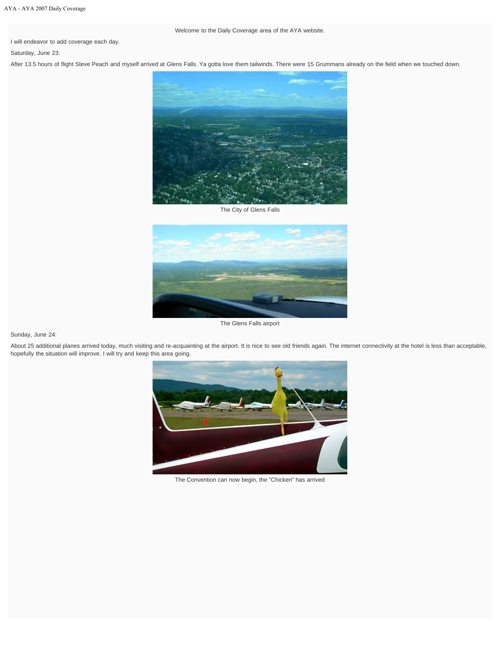I will endeavor to add coverage each day.

Saturday, June 23:

After 13.5 hours of flight Steve Peach and myself arrived at Glens Falls. Ya gotta love them tailwinds. There were 15 Grummans already on the field when we touched down.



The City of Glens Falls



The Glens Falls airport

Sunday, June 24:

About 25 additional planes arrived today, much visiting and re-acquainting at the airport. It is nice to see old friends again. The internet connectivity at the hotel is less than acceptable, hopefully the situation will improve. I will try and keep this area going.



The Convention can now begin, the "Chicken" has arrived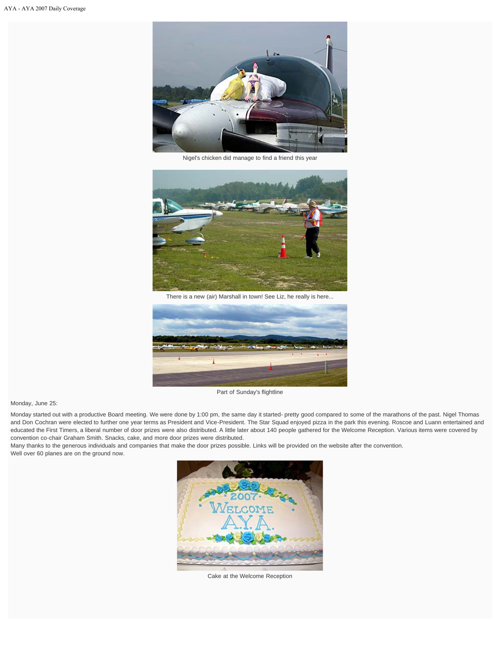

Nigel's chicken did manage to find a friend this year



There is a new (air) Marshall in town! See Liz, he really is here...



Part of Sunday's flightline

## Monday, June 25:

Monday started out with a productive Board meeting. We were done by 1:00 pm, the same day it started- pretty good compared to some of the marathons of the past. Nigel Thomas and Don Cochran were elected to further one year terms as President and Vice-President. The Star Squad enjoyed pizza in the park this evening. Roscoe and Luann entertained and educated the First Timers, a liberal number of door prizes were also distributed. A little later about 140 people gathered for the Welcome Reception. Various items were covered by convention co-chair Graham Smith. Snacks, cake, and more door prizes were distributed.

Many thanks to the generous individuals and companies that make the door prizes possible. Links will be provided on the website after the convention. Well over 60 planes are on the ground now.



Cake at the Welcome Reception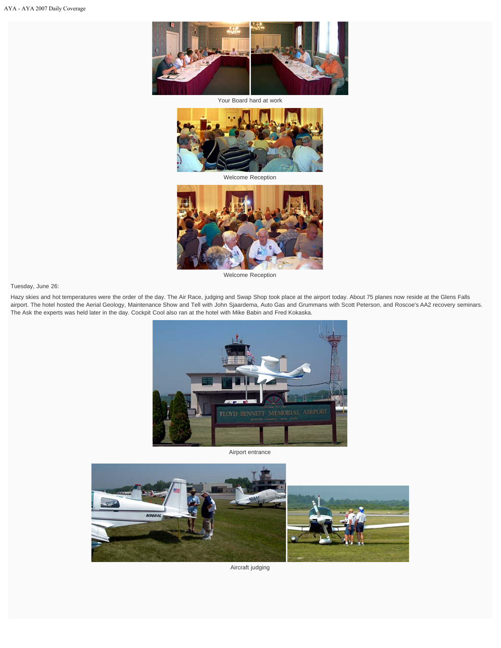

Your Board hard at work



Welcome Reception



Welcome Reception

Tuesday, June 26:

Hazy skies and hot temperatures were the order of the day. The Air Race, judging and Swap Shop took place at the airport today. About 75 planes now reside at the Glens Falls airport. The hotel hosted the Aerial Geology, Maintenance Show and Tell with John Sjaardema, Auto Gas and Grummans with Scott Peterson, and Roscoe's AA2 recovery seminars. The Ask the experts was held later in the day. Cockpit Cool also ran at the hotel with Mike Babin and Fred Kokaska.



Airport entrance



Aircraft judging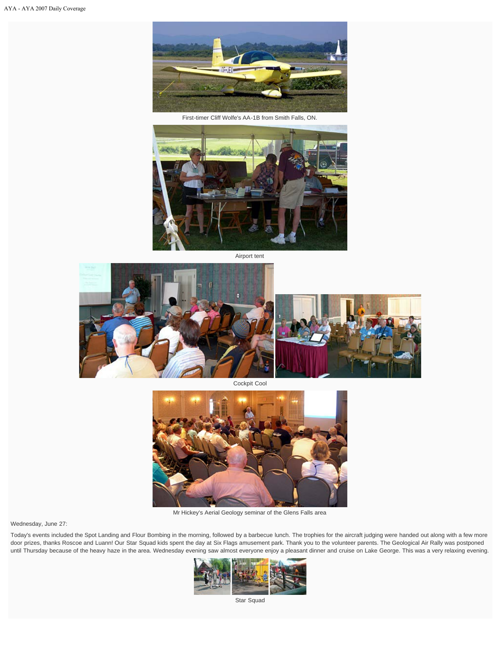

First-timer Cliff Wolfe's AA-1B from Smith Falls, ON.



Airport tent



Cockpit Cool



Mr Hickey's Aerial Geology seminar of the Glens Falls area

Wednesday, June 27:

Today's events included the Spot Landing and Flour Bombing in the morning, followed by a barbecue lunch. The trophies for the aircraft judging were handed out along with a few more door prizes, thanks Roscoe and Luann! Our Star Squad kids spent the day at Six Flags amusement park. Thank you to the volunteer parents. The Geological Air Rally was postponed until Thursday because of the heavy haze in the area. Wednesday evening saw almost everyone enjoy a pleasant dinner and cruise on Lake George. This was a very relaxing evening.



Star Squad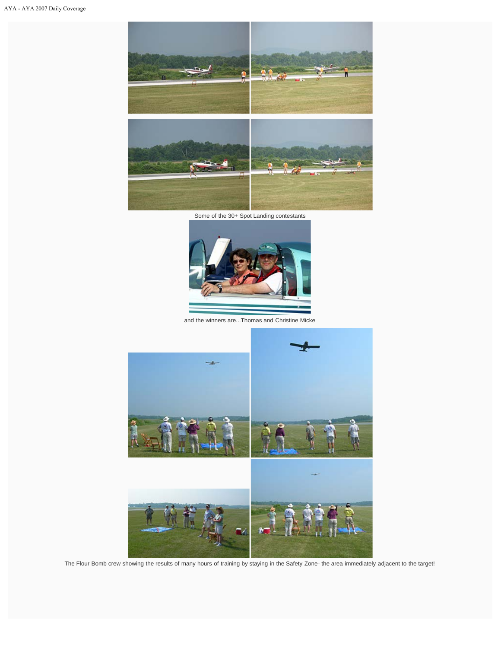

Some of the 30+ Spot Landing contestants



and the winners are...Thomas and Christine Micke



The Flour Bomb crew showing the results of many hours of training by staying in the Safety Zone- the area immediately adjacent to the target!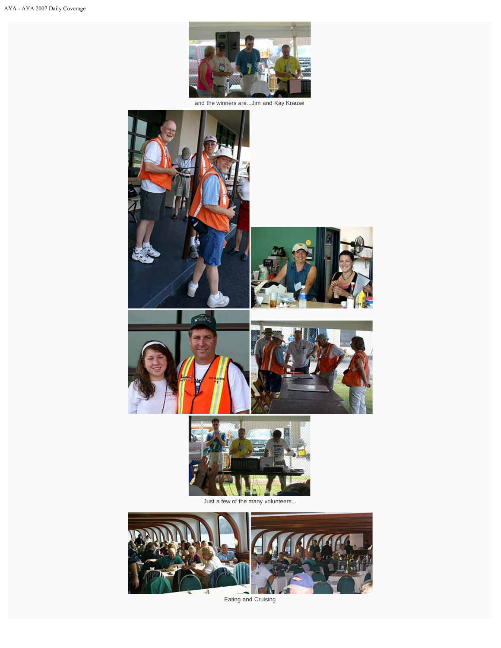

and the winners are...Jim and Kay Krause





Eating and Cruising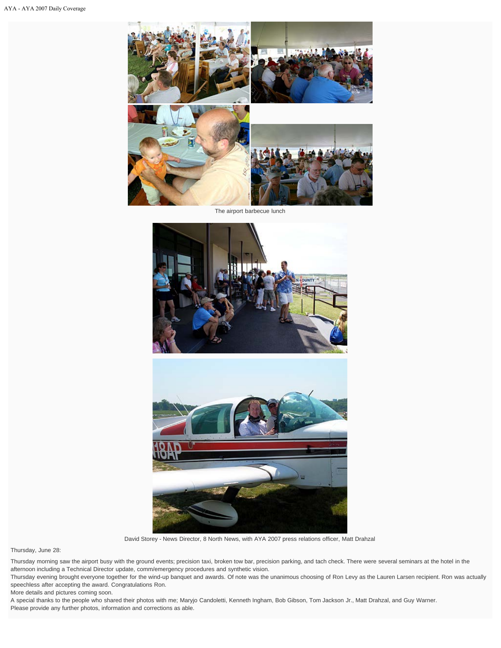

The airport barbecue lunch





David Storey - News Director, 8 North News, with AYA 2007 press relations officer, Matt Drahzal

Thursday, June 28:

Thursday morning saw the airport busy with the ground events; precision taxi, broken tow bar, precision parking, and tach check. There were several seminars at the hotel in the afternoon including a Technical Director update, comm/emergency procedures and synthetic vision.

Thursday evening brought everyone together for the wind-up banquet and awards. Of note was the unanimous choosing of Ron Levy as the Lauren Larsen recipient. Ron was actually speechless after accepting the award. Congratulations Ron.

More details and pictures coming soon.

A special thanks to the people who shared their photos with me; Maryjo Candoletti, Kenneth Ingham, Bob Gibson, Tom Jackson Jr., Matt Drahzal, and Guy Warner. Please provide any further photos, information and corrections as able.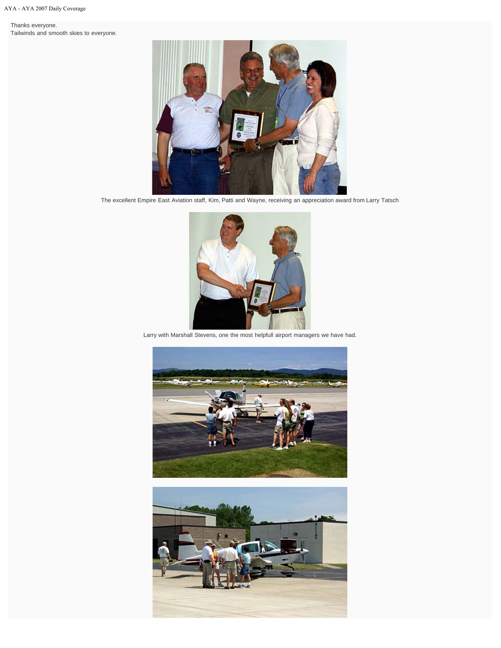Thanks everyone. Tailwinds and smooth skies to everyone.



The excellent Empire East Aviation staff, Kim, Patti and Wayne, receiving an appreciation award from Larry Tatsch



Larry with Marshall Stevens, one the most helpfull airport managers we have had.